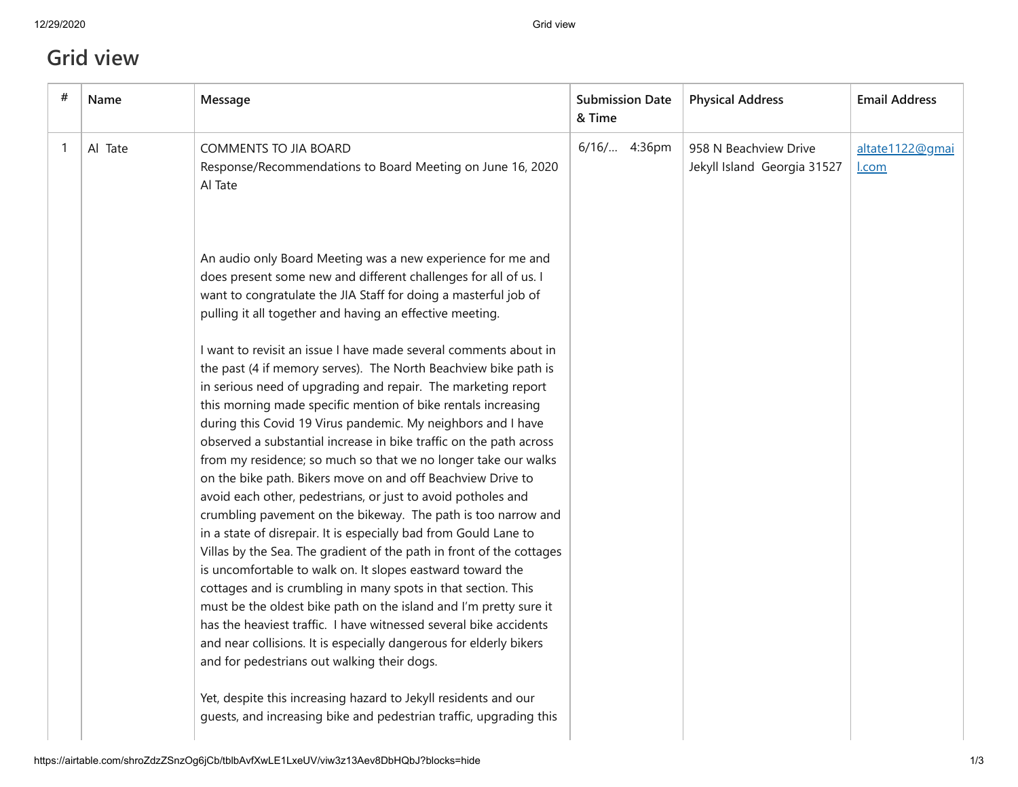## **Grid view**

| # | Name    | Message                                                                                                                                                                                                                                                                                                                                                                                                                                                                                                                                                                                                                                                                                                                                                                                                                                                                                                                                                                                                                                                                                                                                                                                                                 | <b>Submission Date</b><br>& Time | <b>Physical Address</b>                              | <b>Email Address</b>     |
|---|---------|-------------------------------------------------------------------------------------------------------------------------------------------------------------------------------------------------------------------------------------------------------------------------------------------------------------------------------------------------------------------------------------------------------------------------------------------------------------------------------------------------------------------------------------------------------------------------------------------------------------------------------------------------------------------------------------------------------------------------------------------------------------------------------------------------------------------------------------------------------------------------------------------------------------------------------------------------------------------------------------------------------------------------------------------------------------------------------------------------------------------------------------------------------------------------------------------------------------------------|----------------------------------|------------------------------------------------------|--------------------------|
|   | Al Tate | <b>COMMENTS TO JIA BOARD</b><br>Response/Recommendations to Board Meeting on June 16, 2020<br>Al Tate                                                                                                                                                                                                                                                                                                                                                                                                                                                                                                                                                                                                                                                                                                                                                                                                                                                                                                                                                                                                                                                                                                                   | 6/16/ 4:36pm                     | 958 N Beachview Drive<br>Jekyll Island Georgia 31527 | altate1122@gmai<br>l.com |
|   |         | An audio only Board Meeting was a new experience for me and<br>does present some new and different challenges for all of us. I<br>want to congratulate the JIA Staff for doing a masterful job of<br>pulling it all together and having an effective meeting.                                                                                                                                                                                                                                                                                                                                                                                                                                                                                                                                                                                                                                                                                                                                                                                                                                                                                                                                                           |                                  |                                                      |                          |
|   |         | I want to revisit an issue I have made several comments about in<br>the past (4 if memory serves). The North Beachview bike path is<br>in serious need of upgrading and repair. The marketing report<br>this morning made specific mention of bike rentals increasing<br>during this Covid 19 Virus pandemic. My neighbors and I have<br>observed a substantial increase in bike traffic on the path across<br>from my residence; so much so that we no longer take our walks<br>on the bike path. Bikers move on and off Beachview Drive to<br>avoid each other, pedestrians, or just to avoid potholes and<br>crumbling pavement on the bikeway. The path is too narrow and<br>in a state of disrepair. It is especially bad from Gould Lane to<br>Villas by the Sea. The gradient of the path in front of the cottages<br>is uncomfortable to walk on. It slopes eastward toward the<br>cottages and is crumbling in many spots in that section. This<br>must be the oldest bike path on the island and I'm pretty sure it<br>has the heaviest traffic. I have witnessed several bike accidents<br>and near collisions. It is especially dangerous for elderly bikers<br>and for pedestrians out walking their dogs. |                                  |                                                      |                          |
|   |         | Yet, despite this increasing hazard to Jekyll residents and our<br>guests, and increasing bike and pedestrian traffic, upgrading this                                                                                                                                                                                                                                                                                                                                                                                                                                                                                                                                                                                                                                                                                                                                                                                                                                                                                                                                                                                                                                                                                   |                                  |                                                      |                          |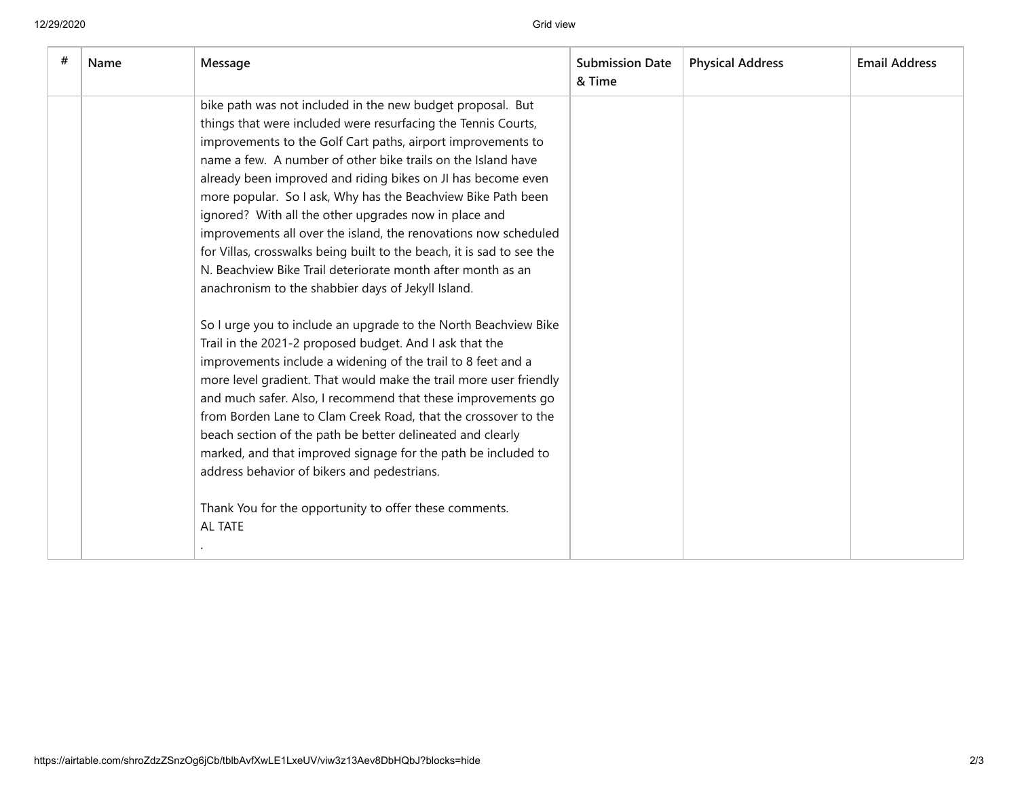| # | Name | Message                                                                                                                                                                                                                                                                                                                                                                                                                                                                                                                                                                                                                                                                                                               | <b>Submission Date</b><br>& Time | <b>Physical Address</b> | <b>Email Address</b> |
|---|------|-----------------------------------------------------------------------------------------------------------------------------------------------------------------------------------------------------------------------------------------------------------------------------------------------------------------------------------------------------------------------------------------------------------------------------------------------------------------------------------------------------------------------------------------------------------------------------------------------------------------------------------------------------------------------------------------------------------------------|----------------------------------|-------------------------|----------------------|
|   |      | bike path was not included in the new budget proposal. But<br>things that were included were resurfacing the Tennis Courts,<br>improvements to the Golf Cart paths, airport improvements to<br>name a few. A number of other bike trails on the Island have<br>already been improved and riding bikes on JI has become even<br>more popular. So I ask, Why has the Beachview Bike Path been<br>ignored? With all the other upgrades now in place and<br>improvements all over the island, the renovations now scheduled<br>for Villas, crosswalks being built to the beach, it is sad to see the<br>N. Beachview Bike Trail deteriorate month after month as an<br>anachronism to the shabbier days of Jekyll Island. |                                  |                         |                      |
|   |      | So I urge you to include an upgrade to the North Beachview Bike<br>Trail in the 2021-2 proposed budget. And I ask that the<br>improvements include a widening of the trail to 8 feet and a<br>more level gradient. That would make the trail more user friendly<br>and much safer. Also, I recommend that these improvements go<br>from Borden Lane to Clam Creek Road, that the crossover to the<br>beach section of the path be better delineated and clearly<br>marked, and that improved signage for the path be included to<br>address behavior of bikers and pedestrians.<br>Thank You for the opportunity to offer these comments.<br>AL TATE                                                                  |                                  |                         |                      |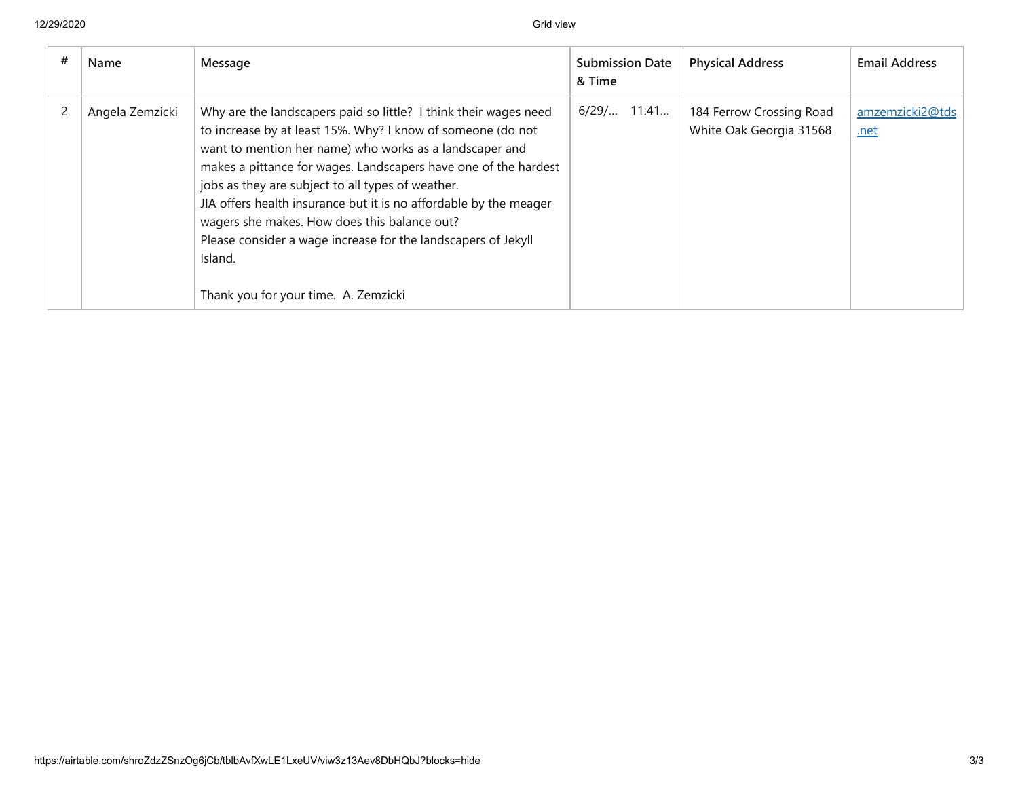| Name            | Message                                                                                                                                                                                                                                                                                                                                                                                                                                                                                                                                                     | <b>Submission Date</b><br>& Time | <b>Physical Address</b>                             | <b>Email Address</b>    |
|-----------------|-------------------------------------------------------------------------------------------------------------------------------------------------------------------------------------------------------------------------------------------------------------------------------------------------------------------------------------------------------------------------------------------------------------------------------------------------------------------------------------------------------------------------------------------------------------|----------------------------------|-----------------------------------------------------|-------------------------|
| Angela Zemzicki | Why are the landscapers paid so little? I think their wages need<br>to increase by at least 15%. Why? I know of someone (do not<br>want to mention her name) who works as a landscaper and<br>makes a pittance for wages. Landscapers have one of the hardest<br>jobs as they are subject to all types of weather.<br>JIA offers health insurance but it is no affordable by the meager<br>wagers she makes. How does this balance out?<br>Please consider a wage increase for the landscapers of Jekyll<br>Island.<br>Thank you for your time. A. Zemzicki | $6/29/$ 11:41                    | 184 Ferrow Crossing Road<br>White Oak Georgia 31568 | amzemzicki2@tds<br>.net |